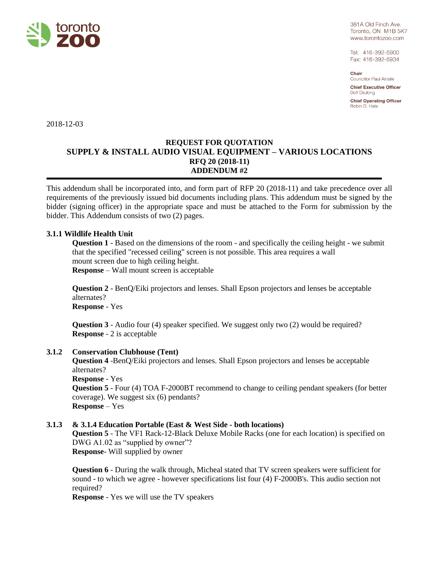

361A Old Finch Ave. Toronto, ON M1B 5K7 www.torontozoo.com

Tel: 416-392-5900 Fax: 416-392-5934

Chair **Councillor Paul Ainslie** 

**Chief Executive Officer** Dolf DeJong

**Chief Operating Officer** Robin D. Hale

2018-12-03

# **REQUEST FOR QUOTATION SUPPLY & INSTALL AUDIO VISUAL EQUIPMENT – VARIOUS LOCATIONS RFQ 20 (2018-11) ADDENDUM #2**

This addendum shall be incorporated into, and form part of RFP 20 (2018-11) and take precedence over all requirements of the previously issued bid documents including plans. This addendum must be signed by the bidder (signing officer) in the appropriate space and must be attached to the Form for submission by the bidder. This Addendum consists of two (2) pages.

# **3.1.1 Wildlife Health Unit**

**Question 1** - Based on the dimensions of the room - and specifically the ceiling height - we submit that the specified "recessed ceiling" screen is not possible. This area requires a wall mount screen due to high ceiling height.

**Response** – Wall mount screen is acceptable

**Question 2** - BenQ/Eiki projectors and lenses. Shall Epson projectors and lenses be acceptable alternates? **Response** - Yes

**Question 3** - Audio four (4) speaker specified. We suggest only two (2) would be required? **Response** - 2 is acceptable

### **3.1.2 Conservation Clubhouse (Tent)**

**Question 4** -BenQ/Eiki projectors and lenses. Shall Epson projectors and lenses be acceptable alternates? **Response** - Yes **Question 5** - Four (4) TOA F-2000BT recommend to change to ceiling pendant speakers (for better

coverage). We suggest six (6) pendants? **Response** – Yes

### **3.1.3 & 3.1.4 Education Portable (East & West Side - both locations)**

**Question 5** - The VF1 Rack-12-Black Deluxe Mobile Racks (one for each location) is specified on DWG A1.02 as "supplied by owner"? **Response**- Will supplied by owner

**Question 6** - During the walk through, Micheal stated that TV screen speakers were sufficient for sound - to which we agree - however specifications list four (4) F-2000B's. This audio section not required?

**Response** - Yes we will use the TV speakers